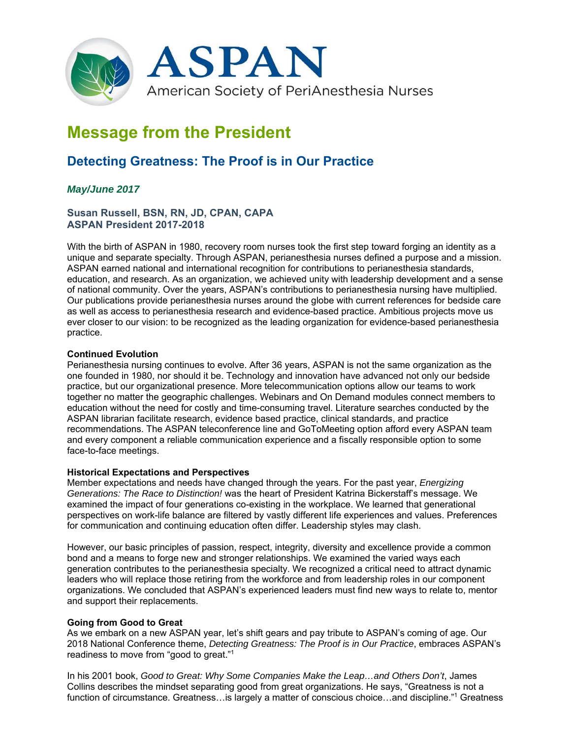

# **Message from the President**

## **Detecting Greatness: The Proof is in Our Practice**

### *May/June 2017*

#### **Susan Russell, BSN, RN, JD, CPAN, CAPA ASPAN President 2017-2018**

With the birth of ASPAN in 1980, recovery room nurses took the first step toward forging an identity as a unique and separate specialty. Through ASPAN, perianesthesia nurses defined a purpose and a mission. ASPAN earned national and international recognition for contributions to perianesthesia standards, education, and research. As an organization, we achieved unity with leadership development and a sense of national community. Over the years, ASPAN's contributions to perianesthesia nursing have multiplied. Our publications provide perianesthesia nurses around the globe with current references for bedside care as well as access to perianesthesia research and evidence-based practice. Ambitious projects move us ever closer to our vision: to be recognized as the leading organization for evidence-based perianesthesia practice.

#### **Continued Evolution**

Perianesthesia nursing continues to evolve. After 36 years, ASPAN is not the same organization as the one founded in 1980, nor should it be. Technology and innovation have advanced not only our bedside practice, but our organizational presence. More telecommunication options allow our teams to work together no matter the geographic challenges. Webinars and On Demand modules connect members to education without the need for costly and time-consuming travel. Literature searches conducted by the ASPAN librarian facilitate research, evidence based practice, clinical standards, and practice recommendations. The ASPAN teleconference line and GoToMeeting option afford every ASPAN team and every component a reliable communication experience and a fiscally responsible option to some face-to-face meetings.

#### **Historical Expectations and Perspectives**

Member expectations and needs have changed through the years. For the past year, *Energizing Generations: The Race to Distinction!* was the heart of President Katrina Bickerstaff's message. We examined the impact of four generations co-existing in the workplace. We learned that generational perspectives on work-life balance are filtered by vastly different life experiences and values. Preferences for communication and continuing education often differ. Leadership styles may clash.

However, our basic principles of passion, respect, integrity, diversity and excellence provide a common bond and a means to forge new and stronger relationships. We examined the varied ways each generation contributes to the perianesthesia specialty. We recognized a critical need to attract dynamic leaders who will replace those retiring from the workforce and from leadership roles in our component organizations. We concluded that ASPAN's experienced leaders must find new ways to relate to, mentor and support their replacements.

#### **Going from Good to Great**

As we embark on a new ASPAN year, let's shift gears and pay tribute to ASPAN's coming of age. Our 2018 National Conference theme, *Detecting Greatness: The Proof is in Our Practice*, embraces ASPAN's readiness to move from "good to great."1

In his 2001 book, *Good to Great: Why Some Companies Make the Leap…and Others Don't*, James Collins describes the mindset separating good from great organizations. He says, "Greatness is not a function of circumstance. Greatness…is largely a matter of conscious choice…and discipline."1 Greatness